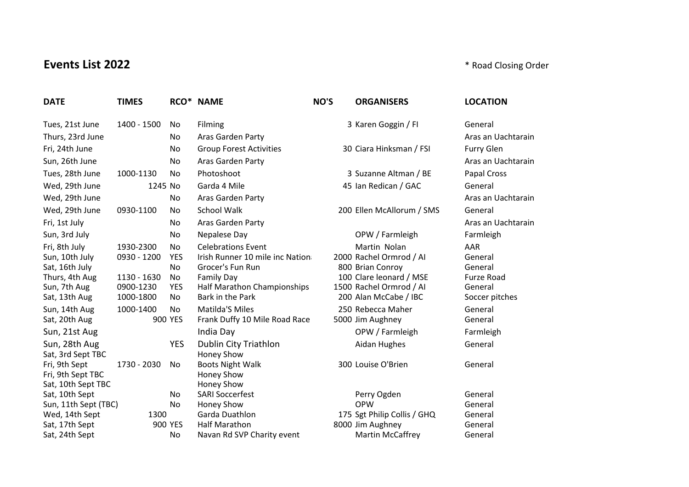## **Events List 2022 Events List 2022 According to the US Events List 2022 According Order**

| <b>DATE</b>          | <b>TIMES</b> |            | RCO* NAME                       | NO'S | <b>ORGANISERS</b>           | <b>LOCATION</b>    |
|----------------------|--------------|------------|---------------------------------|------|-----------------------------|--------------------|
| Tues, 21st June      | 1400 - 1500  | No.        | Filming                         |      | 3 Karen Goggin / Fl         | General            |
| Thurs, 23rd June     |              | No         | Aras Garden Party               |      |                             | Aras an Uachtarain |
| Fri, 24th June       |              | No.        | <b>Group Forest Activities</b>  |      | 30 Ciara Hinksman / FSI     | <b>Furry Glen</b>  |
| Sun, 26th June       |              | No         | Aras Garden Party               |      |                             | Aras an Uachtarain |
| Tues, 28th June      | 1000-1130    | No         | Photoshoot                      |      | 3 Suzanne Altman / BE       | Papal Cross        |
| Wed, 29th June       | 1245 No      |            | Garda 4 Mile                    |      | 45 Ian Redican / GAC        | General            |
| Wed, 29th June       |              | No         | Aras Garden Party               |      |                             | Aras an Uachtarain |
| Wed, 29th June       | 0930-1100    | No         | <b>School Walk</b>              |      | 200 Ellen McAllorum / SMS   | General            |
| Fri, 1st July        |              | No         | Aras Garden Party               |      |                             | Aras an Uachtarain |
| Sun, 3rd July        |              | No         | Nepalese Day                    |      | OPW / Farmleigh             | Farmleigh          |
| Fri, 8th July        | 1930-2300    | No         | <b>Celebrations Event</b>       |      | Martin Nolan                | AAR                |
| Sun, 10th July       | 0930 - 1200  | <b>YES</b> | Irish Runner 10 mile inc Nation |      | 2000 Rachel Ormrod / Al     | General            |
| Sat, 16th July       |              | No         | Grocer's Fun Run                |      | 800 Brian Conroy            | General            |
| Thurs, 4th Aug       | 1130 - 1630  | No         | <b>Family Day</b>               |      | 100 Clare leonard / MSE     | <b>Furze Road</b>  |
| Sun, 7th Aug         | 0900-1230    | <b>YES</b> | Half Marathon Championships     |      | 1500 Rachel Ormrod / Al     | General            |
| Sat, 13th Aug        | 1000-1800    | No         | Bark in the Park                |      | 200 Alan McCabe / IBC       | Soccer pitches     |
| Sun, 14th Aug        | 1000-1400    | No         | <b>Matilda'S Miles</b>          |      | 250 Rebecca Maher           | General            |
| Sat, 20th Aug        |              | 900 YES    | Frank Duffy 10 Mile Road Race   |      | 5000 Jim Aughney            | General            |
| Sun, 21st Aug        |              |            | India Day                       |      | OPW / Farmleigh             | Farmleigh          |
| Sun, 28th Aug        |              | <b>YES</b> | Dublin City Triathlon           |      | Aidan Hughes                | General            |
| Sat, 3rd Sept TBC    |              |            | <b>Honey Show</b>               |      |                             |                    |
| Fri, 9th Sept        | 1730 - 2030  | No         | <b>Boots Night Walk</b>         |      | 300 Louise O'Brien          | General            |
| Fri, 9th Sept TBC    |              |            | Honey Show                      |      |                             |                    |
| Sat, 10th Sept TBC   |              |            | Honey Show                      |      |                             |                    |
| Sat, 10th Sept       |              | No.        | <b>SARI Soccerfest</b>          |      | Perry Ogden                 | General            |
| Sun, 11th Sept (TBC) |              | No         | Honey Show                      |      | <b>OPW</b>                  | General            |
| Wed, 14th Sept       | 1300         |            | Garda Duathlon                  |      | 175 Sgt Philip Collis / GHQ | General            |
| Sat, 17th Sept       |              | 900 YES    | <b>Half Marathon</b>            |      | 8000 Jim Aughney            | General            |
| Sat, 24th Sept       |              | No         | Navan Rd SVP Charity event      |      | Martin McCaffrey            | General            |